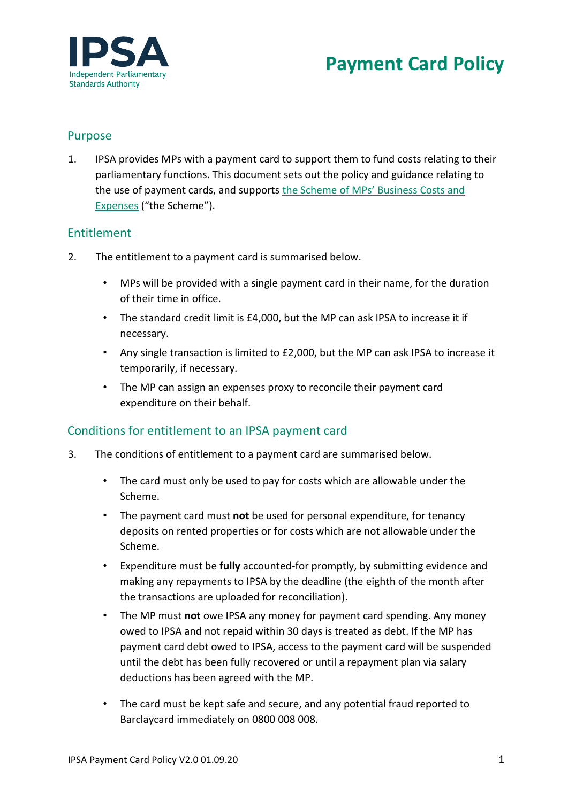



## Purpose

1. IPSA provides MPs with a payment card to support them to fund costs relating to their parliamentary functions. This document sets out the policy and guidance relating to the use of payment cards, and supports [the Scheme of MPs' Business Costs and](https://assets.ctfassets.net/s90k6prbkeee/6sHastyOlqdkXjhIFYNTA1/1a5cc1fc84025e5689424d95fa716cfd/scheme-2020-21.pdf)  [Expenses](https://assets.ctfassets.net/s90k6prbkeee/6sHastyOlqdkXjhIFYNTA1/1a5cc1fc84025e5689424d95fa716cfd/scheme-2020-21.pdf) ("the Scheme").

#### Entitlement

- 2. The entitlement to a payment card is summarised below.
	- MPs will be provided with a single payment card in their name, for the duration of their time in office.
	- The standard credit limit is £4,000, but the MP can ask IPSA to increase it if necessary.
	- Any single transaction is limited to £2,000, but the MP can ask IPSA to increase it temporarily, if necessary.
	- The MP can assign an expenses proxy to reconcile their payment card expenditure on their behalf.

## Conditions for entitlement to an IPSA payment card

- 3. The conditions of entitlement to a payment card are summarised below.
	- The card must only be used to pay for costs which are allowable under the Scheme.
	- The payment card must **not** be used for personal expenditure, for tenancy deposits on rented properties or for costs which are not allowable under the Scheme.
	- Expenditure must be **fully** accounted-for promptly, by submitting evidence and making any repayments to IPSA by the deadline (the eighth of the month after the transactions are uploaded for reconciliation).
	- The MP must **not** owe IPSA any money for payment card spending. Any money owed to IPSA and not repaid within 30 days is treated as debt. If the MP has payment card debt owed to IPSA, access to the payment card will be suspended until the debt has been fully recovered or until a repayment plan via salary deductions has been agreed with the MP.
	- The card must be kept safe and secure, and any potential fraud reported to Barclaycard immediately on 0800 008 008.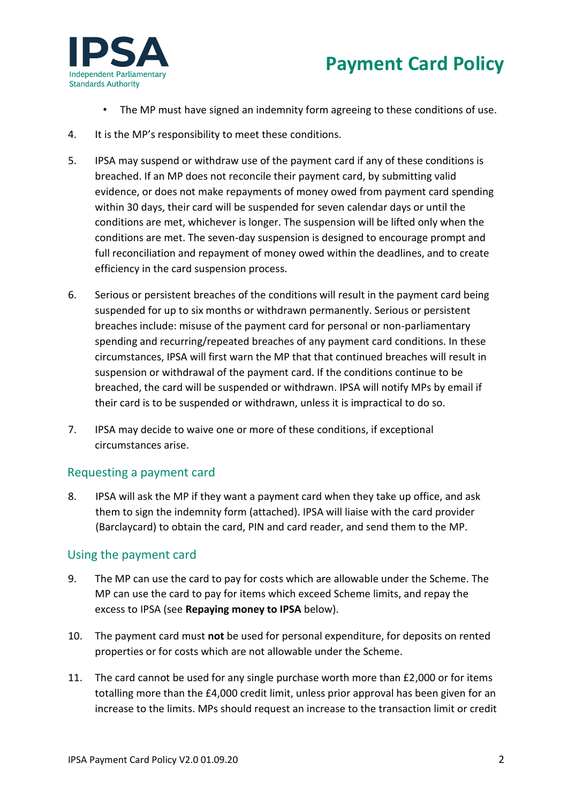



- The MP must have signed an indemnity form agreeing to these conditions of use.
- 4. It is the MP's responsibility to meet these conditions.
- 5. IPSA may suspend or withdraw use of the payment card if any of these conditions is breached. If an MP does not reconcile their payment card, by submitting valid evidence, or does not make repayments of money owed from payment card spending within 30 days, their card will be suspended for seven calendar days or until the conditions are met, whichever is longer. The suspension will be lifted only when the conditions are met. The seven-day suspension is designed to encourage prompt and full reconciliation and repayment of money owed within the deadlines, and to create efficiency in the card suspension process.
- 6. Serious or persistent breaches of the conditions will result in the payment card being suspended for up to six months or withdrawn permanently. Serious or persistent breaches include: misuse of the payment card for personal or non-parliamentary spending and recurring/repeated breaches of any payment card conditions. In these circumstances, IPSA will first warn the MP that that continued breaches will result in suspension or withdrawal of the payment card. If the conditions continue to be breached, the card will be suspended or withdrawn. IPSA will notify MPs by email if their card is to be suspended or withdrawn, unless it is impractical to do so.
- 7. IPSA may decide to waive one or more of these conditions, if exceptional circumstances arise.

#### Requesting a payment card

8. IPSA will ask the MP if they want a payment card when they take up office, and ask them to sign the indemnity form (attached). IPSA will liaise with the card provider (Barclaycard) to obtain the card, PIN and card reader, and send them to the MP.

## Using the payment card

- 9. The MP can use the card to pay for costs which are allowable under the Scheme. The MP can use the card to pay for items which exceed Scheme limits, and repay the excess to IPSA (see **Repaying money to IPSA** below).
- 10. The payment card must **not** be used for personal expenditure, for deposits on rented properties or for costs which are not allowable under the Scheme.
- 11. The card cannot be used for any single purchase worth more than £2,000 or for items totalling more than the £4,000 credit limit, unless prior approval has been given for an increase to the limits. MPs should request an increase to the transaction limit or credit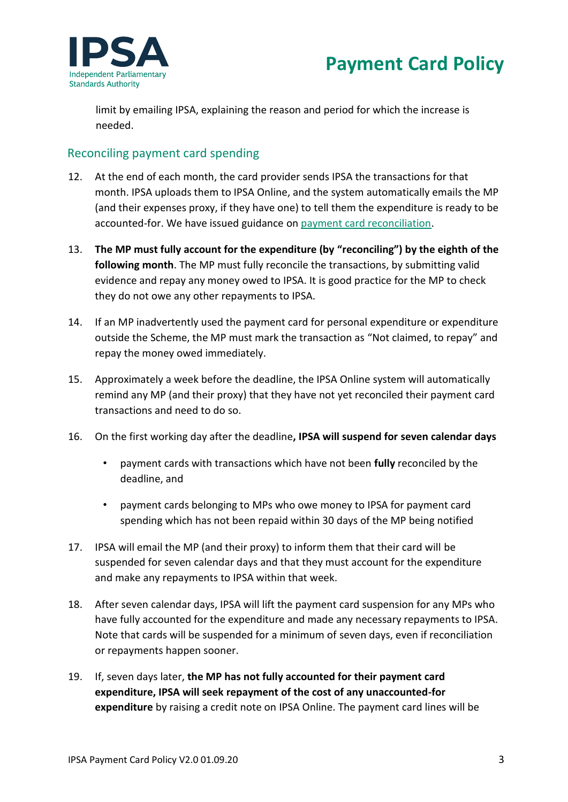



limit by emailing IPSA, explaining the reason and period for which the increase is needed.

## Reconciling payment card spending

- 12. At the end of each month, the card provider sends IPSA the transactions for that month. IPSA uploads them to IPSA Online, and the system automatically emails the MP (and their expenses proxy, if they have one) to tell them the expenditure is ready to be accounted-for. We have issued guidance on [payment card reconciliation.](https://www.ipsaonline.org.uk/guidance/card-payments#payment-card-reconciliation)
- 13. **The MP must fully account for the expenditure (by "reconciling") by the eighth of the following month**. The MP must fully reconcile the transactions, by submitting valid evidence and repay any money owed to IPSA. It is good practice for the MP to check they do not owe any other repayments to IPSA.
- 14. If an MP inadvertently used the payment card for personal expenditure or expenditure outside the Scheme, the MP must mark the transaction as "Not claimed, to repay" and repay the money owed immediately.
- 15. Approximately a week before the deadline, the IPSA Online system will automatically remind any MP (and their proxy) that they have not yet reconciled their payment card transactions and need to do so.
- 16. On the first working day after the deadline**, IPSA will suspend for seven calendar days** 
	- payment cards with transactions which have not been **fully** reconciled by the deadline, and
	- payment cards belonging to MPs who owe money to IPSA for payment card spending which has not been repaid within 30 days of the MP being notified
- 17. IPSA will email the MP (and their proxy) to inform them that their card will be suspended for seven calendar days and that they must account for the expenditure and make any repayments to IPSA within that week.
- 18. After seven calendar days, IPSA will lift the payment card suspension for any MPs who have fully accounted for the expenditure and made any necessary repayments to IPSA. Note that cards will be suspended for a minimum of seven days, even if reconciliation or repayments happen sooner.
- 19. If, seven days later, **the MP has not fully accounted for their payment card expenditure, IPSA will seek repayment of the cost of any unaccounted-for expenditure** by raising a credit note on IPSA Online. The payment card lines will be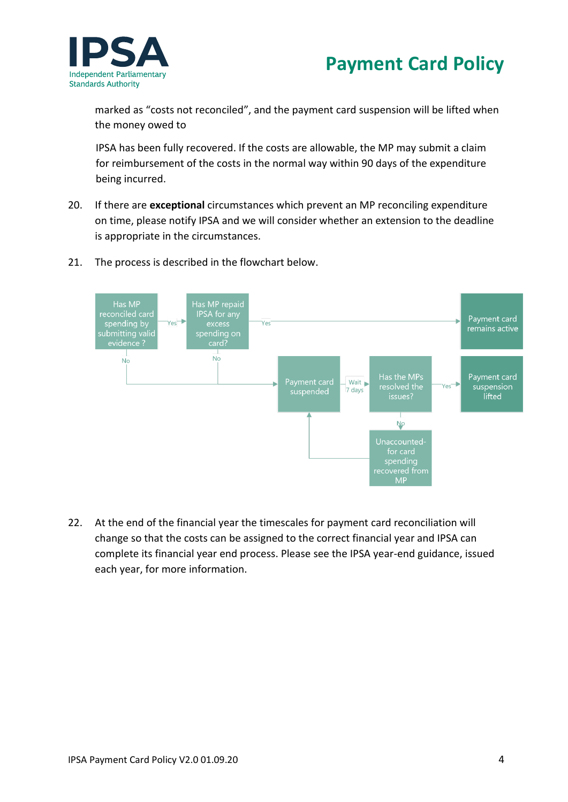



marked as "costs not reconciled", and the payment card suspension will be lifted when the money owed to

IPSA has been fully recovered. If the costs are allowable, the MP may submit a claim for reimbursement of the costs in the normal way within 90 days of the expenditure being incurred.

20. If there are **exceptional** circumstances which prevent an MP reconciling expenditure on time, please notify IPSA and we will consider whether an extension to the deadline is appropriate in the circumstances.



21. The process is described in the flowchart below.

22. At the end of the financial year the timescales for payment card reconciliation will change so that the costs can be assigned to the correct financial year and IPSA can complete its financial year end process. Please see the IPSA year-end guidance, issued each year, for more information.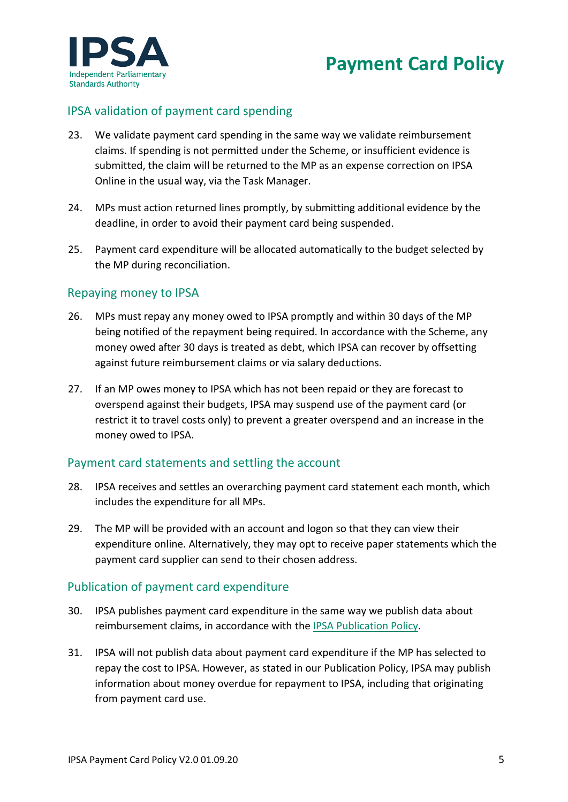



## IPSA validation of payment card spending

- 23. We validate payment card spending in the same way we validate reimbursement claims. If spending is not permitted under the Scheme, or insufficient evidence is submitted, the claim will be returned to the MP as an expense correction on IPSA Online in the usual way, via the Task Manager.
- 24. MPs must action returned lines promptly, by submitting additional evidence by the deadline, in order to avoid their payment card being suspended.
- 25. Payment card expenditure will be allocated automatically to the budget selected by the MP during reconciliation.

## Repaying money to IPSA

- 26. MPs must repay any money owed to IPSA promptly and within 30 days of the MP being notified of the repayment being required. In accordance with the Scheme, any money owed after 30 days is treated as debt, which IPSA can recover by offsetting against future reimbursement claims or via salary deductions.
- 27. If an MP owes money to IPSA which has not been repaid or they are forecast to overspend against their budgets, IPSA may suspend use of the payment card (or restrict it to travel costs only) to prevent a greater overspend and an increase in the money owed to IPSA.

#### Payment card statements and settling the account

- 28. IPSA receives and settles an overarching payment card statement each month, which includes the expenditure for all MPs.
- 29. The MP will be provided with an account and logon so that they can view their expenditure online. Alternatively, they may opt to receive paper statements which the payment card supplier can send to their chosen address.

#### Publication of payment card expenditure

- 30. IPSA publishes payment card expenditure in the same way we publish data about reimbursement claims, in accordance with the IPSA [Publication Policy.](https://www.theipsa.org.uk/publications/consultations/publication-policy/)
- 31. IPSA will not publish data about payment card expenditure if the MP has selected to repay the cost to IPSA. However, as stated in our Publication Policy, IPSA may publish information about money overdue for repayment to IPSA, including that originating from payment card use.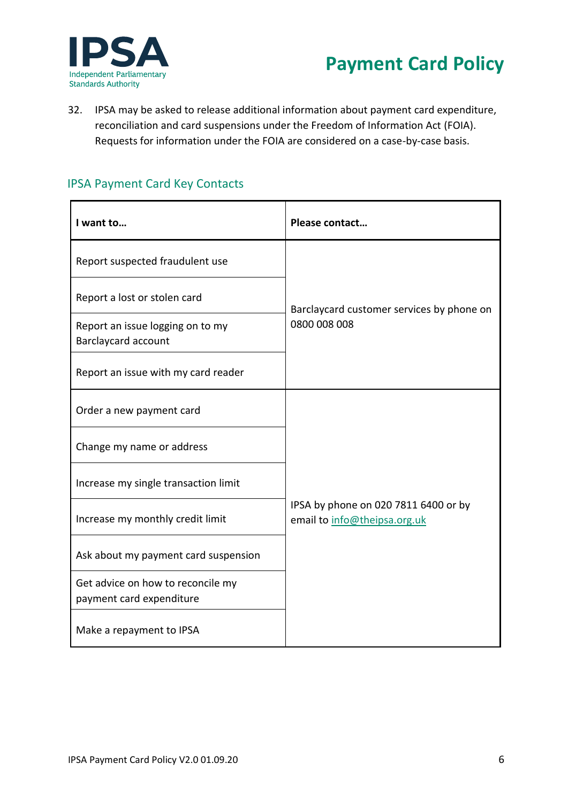



32. IPSA may be asked to release additional information about payment card expenditure, reconciliation and card suspensions under the Freedom of Information Act (FOIA). Requests for information under the FOIA are considered on a case-by-case basis.

# IPSA Payment Card Key Contacts

| I want to                                                      | Please contact                                                       |
|----------------------------------------------------------------|----------------------------------------------------------------------|
| Report suspected fraudulent use                                |                                                                      |
| Report a lost or stolen card                                   | Barclaycard customer services by phone on<br>0800 008 008            |
| Report an issue logging on to my<br><b>Barclaycard account</b> |                                                                      |
| Report an issue with my card reader                            |                                                                      |
| Order a new payment card                                       |                                                                      |
| Change my name or address                                      |                                                                      |
| Increase my single transaction limit                           |                                                                      |
| Increase my monthly credit limit                               | IPSA by phone on 020 7811 6400 or by<br>email to info@theipsa.org.uk |
| Ask about my payment card suspension                           |                                                                      |
| Get advice on how to reconcile my<br>payment card expenditure  |                                                                      |
| Make a repayment to IPSA                                       |                                                                      |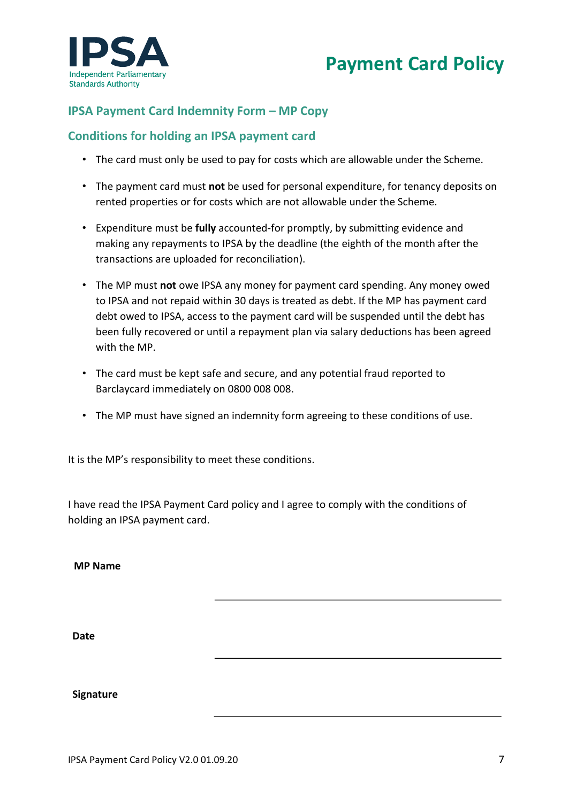



# **IPSA Payment Card Indemnity Form – MP Copy**

# **Conditions for holding an IPSA payment card**

- The card must only be used to pay for costs which are allowable under the Scheme.
- The payment card must **not** be used for personal expenditure, for tenancy deposits on rented properties or for costs which are not allowable under the Scheme.
- Expenditure must be **fully** accounted-for promptly, by submitting evidence and making any repayments to IPSA by the deadline (the eighth of the month after the transactions are uploaded for reconciliation).
- The MP must **not** owe IPSA any money for payment card spending. Any money owed to IPSA and not repaid within 30 days is treated as debt. If the MP has payment card debt owed to IPSA, access to the payment card will be suspended until the debt has been fully recovered or until a repayment plan via salary deductions has been agreed with the MP.
- The card must be kept safe and secure, and any potential fraud reported to Barclaycard immediately on 0800 008 008.
- The MP must have signed an indemnity form agreeing to these conditions of use.

It is the MP's responsibility to meet these conditions.

I have read the IPSA Payment Card policy and I agree to comply with the conditions of holding an IPSA payment card.

**MP Name**

**Date** 

**Signature**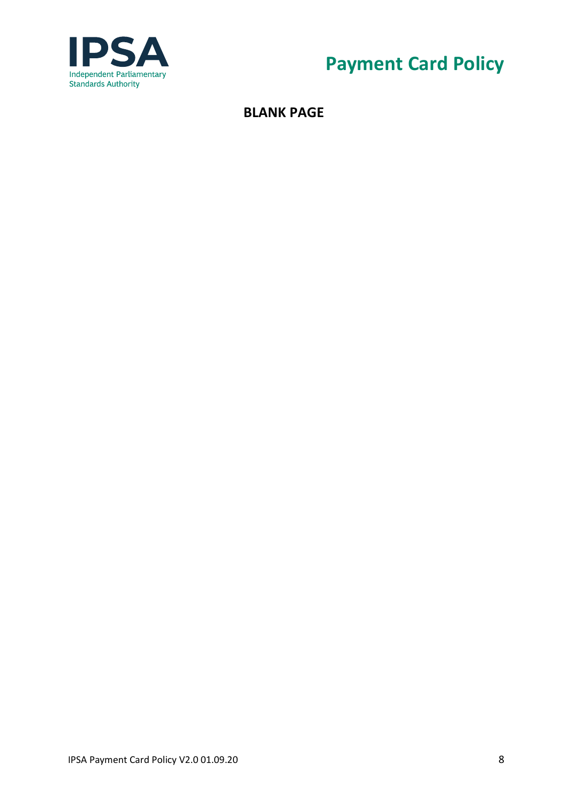



**BLANK PAGE**